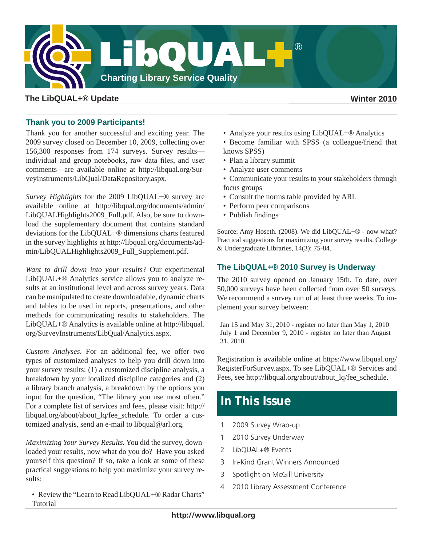

# **The LibQUAL+® Update Winter 2010**

## **Thank you to 2009 Participants!**

Thank you for another successful and exciting year. The 2009 survey closed on December 10, 2009, collecting over 156,300 responses from 174 surveys. Survey results individual and group notebooks, raw data files, and user comments—are available online at [http://libqual.org/Sur](http://libqual.org/SurveyInstruments/LibQual/DataRepository.aspx)[veyInstruments/LibQual/DataRepository.aspx](http://libqual.org/SurveyInstruments/LibQual/DataRepository.aspx).

*Survey Highlights* for the 2009 LibQUAL+® survey are available online at [http://libqual.org/documents/admin/](http://libqual.org/documents/admin/LibQUALHighlights2009_Full.pdf) [LibQUALHighlights2009\\_Full.pdf](http://libqual.org/documents/admin/LibQUALHighlights2009_Full.pdf). Also, be sure to download the supplementary document that contains standard deviations for the LibQUAL+® dimensions charts featured in the survey highlights at [http://libqual.org/documents/ad](http://libqual.org/documents/admin/LibQUALHighlights2009_Full_Supplement.pdf)[min/LibQUALHighlights2009\\_Full\\_Supplement.pdf.](http://libqual.org/documents/admin/LibQUALHighlights2009_Full_Supplement.pdf)

*Want to drill down into your results?* Our experimental LibQUAL+® Analytics service allows you to analyze results at an institutional level and across survey years. Data can be manipulated to create downloadable, dynamic charts and tables to be used in reports, presentations, and other methods for communicating results to stakeholders. The LibQUAL+® Analytics is available online at [http://libqual.](http://libqual.org/SurveyInstruments/LibQual/Analytics.aspx) [org/SurveyInstruments/LibQual/Analytics.aspx.](http://libqual.org/SurveyInstruments/LibQual/Analytics.aspx)

*Custom Analyses*. For an additional fee, we offer two types of customized analyses to help you drill down into your survey results: (1) a customized discipline analysis, a breakdown by your localized discipline categories and (2) a library branch analysis, a breakdown by the options you input for the question, "The library you use most often." For a complete list of services and fees, please visit: [http://](http://libqual.org/about/about_lq/fee_schedule) [libqual.org/about/about\\_lq/fee\\_schedule.](http://libqual.org/about/about_lq/fee_schedule) To order a customized analysis, send an e-mail to libqual@arl.org.

*Maximizing Your Survey Results.* You did the survey, downloaded your results, now what do you do? Have you asked yourself this question? If so, take a look at some of these practical suggestions to help you maximize your survey results:

• Review the "Learn to Read LibQUAL+® Radar Charts" Tutorial

• Analyze your results using LibQUAL+® Analytics

• Become familiar with SPSS (a colleague/friend that knows SPSS)

- Plan a library summit
- Analyze user comments
- Communicate your results to your stakeholders through focus groups
- Consult the norms table provided by ARL
- Perform peer comparisons
- Publish findings

Source: Amy Hoseth. (2008). We did LibQUAL+® - now what? Practical suggestions for maximizing your survey results. College & Undergraduate Libraries, 14(3): 75-84.

## **The LibQUAL+® 2010 Survey is Underway**

The 2010 survey opened on January 15th. To date, over 50,000 surveys have been collected from over 50 surveys. We recommend a survey run of at least three weeks. To implement your survey between:

Jan 15 and May 31, 2010 - register no later than May 1, 2010 July 1 and December 9, 2010 - register no later than August 31, 2010.

Registration is available online at [https://www.libqual.org/](https://www.libqual.org/RegisterForSurvey.aspx) [RegisterForSurvey.aspx](https://www.libqual.org/RegisterForSurvey.aspx). To see LibQUAL+® Services and Fees, see [http://libqual.org/about/about\\_lq/fee\\_schedule](http://libqual.org/about/about_lq/fee_schedule).

# **In This Issue**

- 1 2009 Survey Wrap-up
- 1 2010 Survey Underway
- 2 LibQUAL+® Events
- 3 In-Kind Grant Winners Announced
- 3 Spotlight on McGill University
- 4 2010 Library Assessment Conference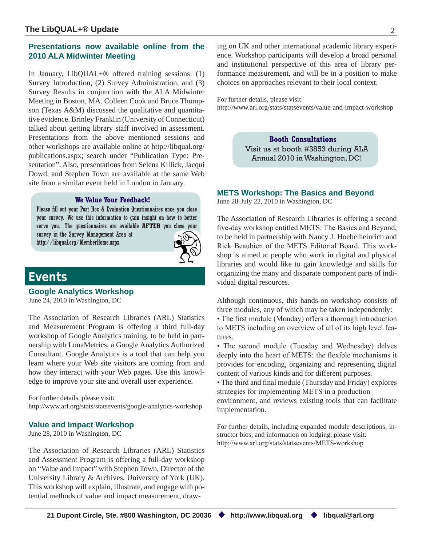# **Presentations now available online from the 2010 ALA Midwinter Meeting**

In January, LibQUAL+® offered training sessions: (1) Survey Introduction, (2) Survey Administration, and (3) Survey Results in conjunction with the ALA Midwinter Meeting in Boston, MA. Colleen Cook and Bruce Thompson (Texas A&M) discussed the qualitative and quantitative evidence. Brinley Franklin (University of Connecticut) talked about getting library staff involved in assessment. Presentations from the above mentioned sessions and other workshops are available online at http://libqual.org/ publications.aspx; search under "Publication Type: Presentation". Also, presentations from Selena Killick, Jacqui Dowd, and Stephen Town are available at the same Web site from a similar event held in London in January.

### **We Value Your Feedback!**

Please fill out your Post Hoc & Evaluation Questionnaires once you close your survey. We use this information to gain insight on how to better serve you. The questionnaires are available **AFTER** you close your survey in the Survey Management Area at http://libqual.org/MemberHome.aspx.



# **Events**

**Google Analytics Workshop**

June 24, 2010 in Washington, DC

The Association of Research Libraries (ARL) Statistics and Measurement Program is offering a third full-day workshop of Google Analytics training, to be held in partnership with LunaMetrics, a Google Analytics Authorized Consultant. Google Analytics is a tool that can help you learn where your Web site visitors are coming from and how they interact with your Web pages. Use this knowledge to improve your site and overall user experience.

For further details, please visit: http://www.arl.org/stats/statsevents/google-analytics-workshop

### **Value and Impact Workshop**

June 28, 2010 in Washington, DC

The Association of Research Libraries (ARL) Statistics and Assessment Program is offering a full-day workshop on "Value and Impact" with Stephen Town, Director of the University Library & Archives, University of York (UK). This workshop will explain, illustrate, and engage with potential methods of value and impact measurement, drawing on UK and other international academic library experience. Workshop participants will develop a broad personal and institutional perspective of this area of library performance measurement, and will be in a position to make choices on approaches relevant to their local context.

For further details, please visit: http://www.arl.org/stats/statsevents/value-and-impact-workshop

> **Booth Consultations** Visit us at booth #3853 during ALA Annual 2010 in Washington, DC!

### **METS Workshop: The Basics and Beyond**

June 28-July 22, 2010 in Washington, DC

The Association of Research Libraries is offering a second five-day workshop entitled METS: The Basics and Beyond, to be held in partnership with Nancy J. Hoebelheinrich and Rick Beaubien of the METS Editorial Board. This workshop is aimed at people who work in digital and physical libraries and would like to gain knowledge and skills for organizing the many and disparate component parts of individual digital resources.

Although continuous, this hands-on workshop consists of three modules, any of which may be taken independently:

• The first module (Monday) offers a thorough introduction to METS including an overview of all of its high level features.

• The second module (Tuesday and Wednesday) delves deeply into the heart of METS: the flexible mechanisms it provides for encoding, organizing and representing digital content of various kinds and for different purposes.

• The third and final module (Thursday and Friday) explores strategies for implementing METS in a production environment, and reviews existing tools that can facilitate implementation.

For further details, including expanded module descriptions, instructor bios, and information on lodging, please visit: http://www.arl.org/stats/statsevents/METS-workshop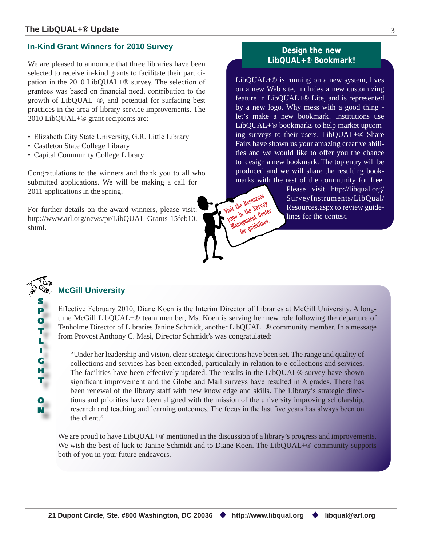## **In-Kind Grant Winners for 2010 Survey**

We are pleased to announce that three libraries have been selected to receive in-kind grants to facilitate their participation in the 2010 LibQUAL+® survey. The selection of grantees was based on financial need, contribution to the growth of LibQUAL+®, and potential for surfacing best practices in the area of library service improvements. The 2010 LibQUAL+® grant recipients are:

- Elizabeth City State University, G.R. Little Library
- Castleton State College Library
- Capital Community College Library

Congratulations to the winners and thank you to all who submitted applications. We will be making a call for 2011 applications in the spring.

For further details on the award winners, please visit: http://www.arl.org/news/pr/LibQUAL-Grants-15feb10. shtml.

# **Design the new LibQUAL+® Bookmark!**

LibQUAL+® is running on a new system, lives on a new Web site, includes a new customizing feature in LibQUAL+® Lite, and is represented by a new logo. Why mess with a good thing let's make a new bookmark! Institutions use LibQUAL+® bookmarks to help market upcoming surveys to their users. LibQUAL+® Share Fairs have shown us your amazing creative abilities and we would like to offer you the chance to design a new bookmark. The top entry will be produced and we will share the resulting bookmarks with the rest of the community for free.

Please visit http://libqual.org/ SurveyInstruments/LibQual/ Resources.aspx to review guide-Visit the Resources<br>
Tisit the Resources Survey Instrument<br>
page in the Center<br>
page integrated<br>
lines for the contest.

# **McGill University**

S P O T L I G H T

O N Effective February 2010, Diane Koen is the Interim Director of Libraries at McGill University. A longtime McGill LibQUAL+® team member, Ms. Koen is serving her new role following the departure of Tenholme Director of Libraries Janine Schmidt, another LibQUAL+® community member. In a message from Provost Anthony C. Masi, Director Schmidt's was congratulated:

Visit the Resources<br>Visit the Resources<br>Page in the Survey

for guidelines.

"Under her leadership and vision, clear strategic directions have been set. The range and quality of collections and services has been extended, particularly in relation to e-collections and services. The facilities have been effectively updated. The results in the LibQUAL® survey have shown significant improvement and the Globe and Mail surveys have resulted in A grades. There has been renewal of the library staff with new knowledge and skills. The Library's strategic directions and priorities have been aligned with the mission of the university improving scholarship, research and teaching and learning outcomes. The focus in the last five years has always been on the client."

We are proud to have LibQUAL+<sup>®</sup> mentioned in the discussion of a library's progress and improvements. We wish the best of luck to Janine Schmidt and to Diane Koen. The LibQUAL+<sup>®</sup> community supports both of you in your future endeavors.